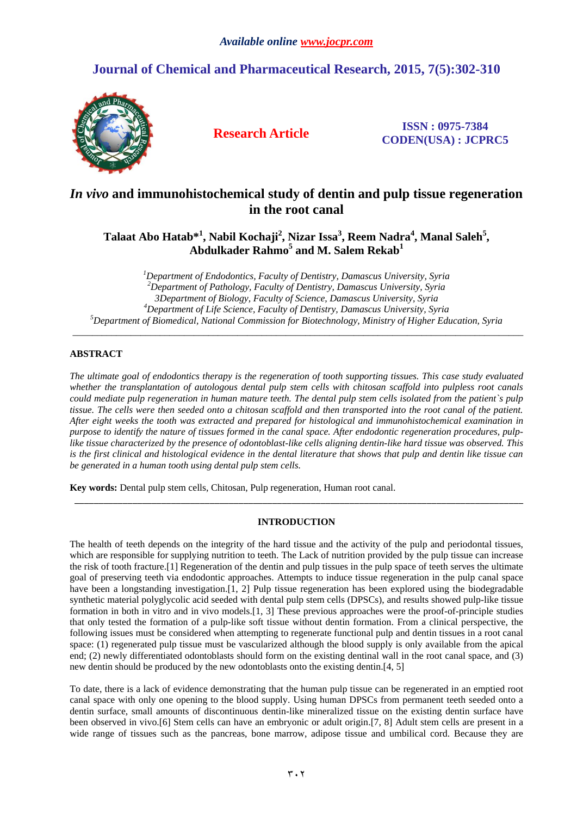# **Journal of Chemical and Pharmaceutical Research, 2015, 7(5):302-310**



**Research Article ISSN : 0975-7384 CODEN(USA) : JCPRC5**

## *In vivo* **and immunohistochemical study of dentin and pulp tissue regeneration in the root canal**

 $\bf T$ alaat Abo Hatab $*^1$ , Nabil Kochaji<sup>2</sup>, Nizar Issa<sup>3</sup>, Reem Nadra<sup>4</sup>, Manal Saleh<sup>5</sup>, **Abdulkader Rahmo<sup>5</sup> and M. Salem Rekab<sup>1</sup>**

*Department of Endodontics, Faculty of Dentistry, Damascus University, Syria Department of Pathology, Faculty of Dentistry, Damascus University, Syria 3Department of Biology, Faculty of Science, Damascus University, Syria Department of Life Science, Faculty of Dentistry, Damascus University, Syria Department of Biomedical, National Commission for Biotechnology, Ministry of Higher Education, Syria*

\_\_\_\_\_\_\_\_\_\_\_\_\_\_\_\_\_\_\_\_\_\_\_\_\_\_\_\_\_\_\_\_\_\_\_\_\_\_\_\_\_\_\_\_\_\_\_\_\_\_\_\_\_\_\_\_\_\_\_\_\_\_\_\_\_\_\_\_\_\_\_\_\_\_\_\_\_\_\_\_\_\_\_\_\_\_\_\_\_\_\_\_\_

### **ABSTRACT**

*The ultimate goal of endodontics therapy is the regeneration of tooth supporting tissues. This case study evaluated whether the transplantation of autologous dental pulp stem cells with chitosan scaffold into pulpless root canals could mediate pulp regeneration in human mature teeth. The dental pulp stem cells isolated from the patient`s pulp tissue. The cells were then seeded onto a chitosan scaffold and then transported into the root canal of the patient. After eight weeks the tooth was extracted and prepared for histological and immunohistochemical examination in purpose to identify the nature of tissues formed in the canal space. After endodontic regeneration procedures, pulplike tissue characterized by the presence of odontoblast-like cells aligning dentin-like hard tissue was observed. This is the first clinical and histological evidence in the dental literature that shows that pulp and dentin like tissue can be generated in a human tooth using dental pulp stem cells.*

**Key words:** Dental pulp stem cells, Chitosan, Pulp regeneration, Human root canal.

### **INTRODUCTION**

\_\_\_\_\_\_\_\_\_\_\_\_\_\_\_\_\_\_\_\_\_\_\_\_\_\_\_\_\_\_\_\_\_\_\_\_\_\_\_\_\_\_\_\_\_\_\_\_\_\_\_\_\_\_\_\_\_\_\_\_\_\_\_\_\_\_\_\_\_\_\_\_\_\_\_\_\_\_\_\_\_\_\_\_\_\_\_\_\_\_\_\_\_

The health of teeth depends on the integrity of the hard tissue and the activity of the pulp and periodontal tissues, which are responsible for supplying nutrition to teeth. The Lack of nutrition provided by the pulp tissue can increase the risk of tooth fracture.[\[1\]](#page-8-0) Regeneration of the dentin and pulp tissues in the pulp space of teeth serves the ultimate goal of preserving teeth via endodontic approaches. Attempts to induce tissue regeneration in the pulp canal space have been a longstanding investigation.[\[1,](#page-8-0) [2\]](#page-8-1) Pulp tissue regeneration has been explored using the biodegradable synthetic material polyglycolic acid seeded with dental pulp stem cells (DPSCs), and results showed pulp-like tissue formation in both in vitro and in vivo models.[\[1,](#page-8-0) [3\]](#page-8-2) These previous approaches were the proof-of-principle studies that only tested the formation of a pulp-like soft tissue without dentin formation. From a clinical perspective, the following issues must be considered when attempting to regenerate functional pulp and dentin tissues in a root canal space: (1) regenerated pulp tissue must be vascularized although the blood supply is only available from the apical end; (2) newly differentiated odontoblasts should form on the existing dentinal wall in the root canal space, and (3) new dentin should be produced by the new odontoblasts onto the existing dentin.[\[4,](#page-8-3) [5\]](#page-8-4)

To date, there is a lack of evidence demonstrating that the human pulp tissue can be regenerated in an emptied root canal space with only one opening to the blood supply. Using human DPSCs from permanent teeth seeded onto a dentin surface, small amounts of discontinuous dentin-like mineralized tissue on the existing dentin surface have been observed in vivo.[\[6\]](#page-8-5) Stem cells can have an embryonic or adult origin.[\[7,](#page-8-6) [8\]](#page-8-7) Adult stem cells are present in a wide range of tissues such as the pancreas, bone marrow, adipose tissue and umbilical cord. Because they are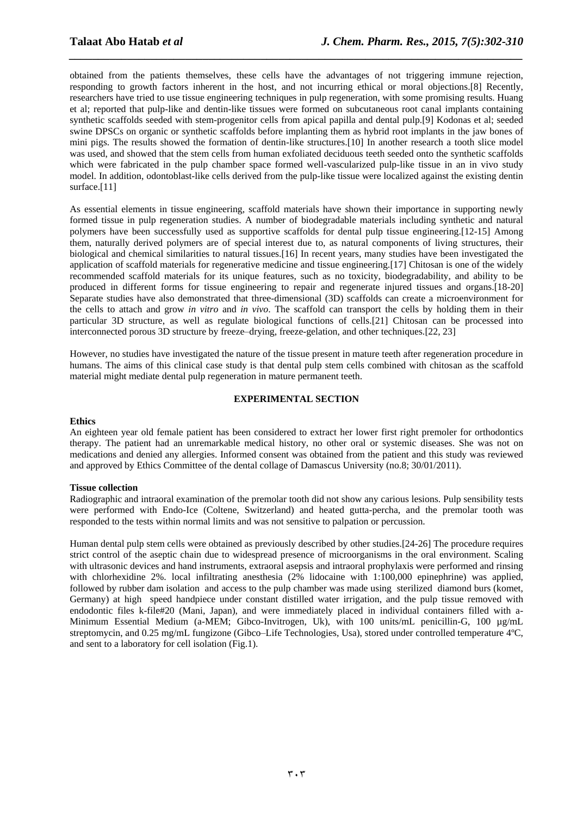obtained from the patients themselves, these cells have the advantages of not triggering immune rejection, responding to growth factors inherent in the host, and not incurring ethical or moral objections.[\[8\]](#page-8-7) Recently, researchers have tried to use tissue engineering techniques in pulp regeneration, with some promising results. Huang et al; reported that pulp-like and dentin-like tissues were formed on subcutaneous root canal implants containing synthetic scaffolds seeded with stem-progenitor cells from apical papilla and dental pulp.[\[9\]](#page-8-8) Kodonas et al; seeded swine DPSCs on organic or synthetic scaffolds before implanting them as hybrid root implants in the jaw bones of mini pigs. The results showed the formation of dentin-like structures.[\[10\]](#page-8-9) In another research a tooth slice model was used, and showed that the stem cells from human exfoliated deciduous teeth seeded onto the synthetic scaffolds which were fabricated in the pulp chamber space formed well-vascularized pulp-like tissue in an in vivo study model. In addition, odontoblast-like cells derived from the pulp-like tissue were localized against the existing dentin surface.<sup>[\[11\]](#page-8-10)</sup>

*\_\_\_\_\_\_\_\_\_\_\_\_\_\_\_\_\_\_\_\_\_\_\_\_\_\_\_\_\_\_\_\_\_\_\_\_\_\_\_\_\_\_\_\_\_\_\_\_\_\_\_\_\_\_\_\_\_\_\_\_\_\_\_\_\_\_\_\_\_\_\_\_\_\_\_\_\_\_*

As essential elements in tissue engineering, scaffold materials have shown their importance in supporting newly formed tissue in pulp regeneration studies. A number of biodegradable materials including synthetic and natural polymers have been successfully used as supportive scaffolds for dental pulp tissue engineering.[\[12-15\]](#page-8-11) Among them, naturally derived polymers are of special interest due to, as natural components of living structures, their biological and chemical similarities to natural tissues.[\[16\]](#page-8-12) In recent years, many studies have been investigated the application of scaffold materials for regenerative medicine and tissue engineering.[\[17\]](#page-8-13) Chitosan is one of the widely recommended scaffold materials for its unique features, such as no toxicity, biodegradability, and ability to be produced in different forms for tissue engineering to repair and regenerate injured tissues and organs.[\[18-20\]](#page-8-14) Separate studies have also demonstrated that three-dimensional (3D) scaffolds can create a microenvironment for the cells to attach and grow *in vitro* and *in vivo*. The scaffold can transport the cells by holding them in their particular 3D structure, as well as regulate biological functions of cells.[\[21\]](#page-8-15) Chitosan can be processed into interconnected porous 3D structure by freeze–drying, freeze-gelation, and other techniques.[\[22,](#page-8-16) [23\]](#page-8-17)

However, no studies have investigated the nature of the tissue present in mature teeth after regeneration procedure in humans. The aims of this clinical case study is that dental pulp stem cells combined with chitosan as the scaffold material might mediate dental pulp regeneration in mature permanent teeth.

#### **EXPERIMENTAL SECTION**

#### **Ethics**

An eighteen year old female patient has been considered to extract her lower first right premoler for orthodontics therapy. The patient had an unremarkable medical history, no other oral or systemic diseases. She was not on medications and denied any allergies. Informed consent was obtained from the patient and this study was reviewed and approved by Ethics Committee of the dental collage of Damascus University (no.8; 30/01/2011).

#### **Tissue collection**

Radiographic and intraoral examination of the premolar tooth did not show any carious lesions. Pulp sensibility tests were performed with Endo-Ice (Coltene, Switzerland) and heated gutta-percha, and the premolar tooth was responded to the tests within normal limits and was not sensitive to palpation or percussion.

Human dental pulp stem cells were obtained as previously described by other studies.[\[24-26\]](#page-8-18) The procedure requires strict control of the aseptic chain due to widespread presence of microorganisms in the oral environment. Scaling with ultrasonic devices and hand instruments, extraoral asepsis and intraoral prophylaxis were performed and rinsing with chlorhexidine 2%. local infiltrating anesthesia (2% lidocaine with 1:100,000 epinephrine) was applied, followed by rubber dam isolation and access to the pulp chamber was made using sterilized diamond burs (komet, Germany) at high speed handpiece under constant distilled water irrigation, and the pulp tissue removed with endodontic files k-file#20 (Mani, Japan), and were immediately placed in individual containers filled with a-Minimum Essential Medium (a-MEM; Gibco-Invitrogen, Uk), with 100 units/mL penicillin-G, 100  $\mu$ g/mL streptomycin, and 0.25 mg/mL fungizone (Gibco–Life Technologies, Usa), stored under controlled temperature 4ºC, and sent to a laboratory for cell isolation (Fig.1).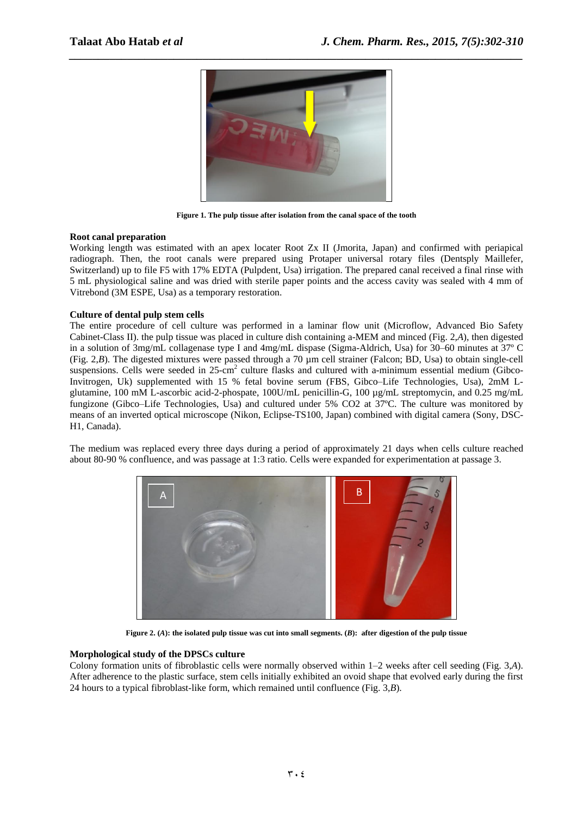

**Figure 1. The pulp tissue after isolation from the canal space of the tooth**

#### **Root canal preparation**

Working length was estimated with an apex locater Root Zx II (Jmorita, Japan) and confirmed with periapical radiograph. Then, the root canals were prepared using Protaper universal rotary files (Dentsply Maillefer, Switzerland) up to file F5 with 17% EDTA (Pulpdent, Usa) irrigation. The prepared canal received a final rinse with 5 mL physiological saline and was dried with sterile paper points and the access cavity was sealed with 4 mm of Vitrebond (3M ESPE, Usa) as a temporary restoration.

#### **Culture of dental pulp stem cells**

The entire procedure of cell culture was performed in a laminar flow unit (Microflow, Advanced Bio Safety Cabinet-Class II). the pulp tissue was placed in culture dish containing a-MEM and minced (Fig. 2,*A*), then digested in a solution of 3mg/mL collagenase type I and 4mg/mL dispase (Sigma-Aldrich, Usa) for 30–60 minutes at 37º C (Fig. 2,*B*). The digested mixtures were passed through a 70 µm cell strainer (Falcon; BD, Usa) to obtain single-cell suspensions. Cells were seeded in 25-cm<sup>2</sup> culture flasks and cultured with a-minimum essential medium (Gibco-Invitrogen, Uk) supplemented with 15 % fetal bovine serum (FBS, Gibco–Life Technologies, Usa), 2mM Lglutamine, 100 mM L-ascorbic acid-2-phospate, 100U/mL penicillin-G, 100 µg/mL streptomycin, and 0.25 mg/mL fungizone (Gibco–Life Technologies, Usa) and cultured under 5% CO2 at 37ºC. The culture was monitored by means of an inverted optical microscope (Nikon, Eclipse-TS100, Japan) combined with digital camera (Sony, DSC-H1, Canada).

The medium was replaced every three days during a period of approximately 21 days when cells culture reached about 80-90 % confluence, and was passage at 1:3 ratio. Cells were expanded for experimentation at passage 3.



**Figure 2. (***A***): the isolated pulp tissue was cut into small segments. (***B***): after digestion of the pulp tissue**

#### **Morphological study of the DPSCs culture**

Colony formation units of fibroblastic cells were normally observed within 1–2 weeks after cell seeding (Fig. 3,*A*). After adherence to the plastic surface, stem cells initially exhibited an ovoid shape that evolved early during the first 24 hours to a typical fibroblast-like form, which remained until confluence (Fig. 3,*B*).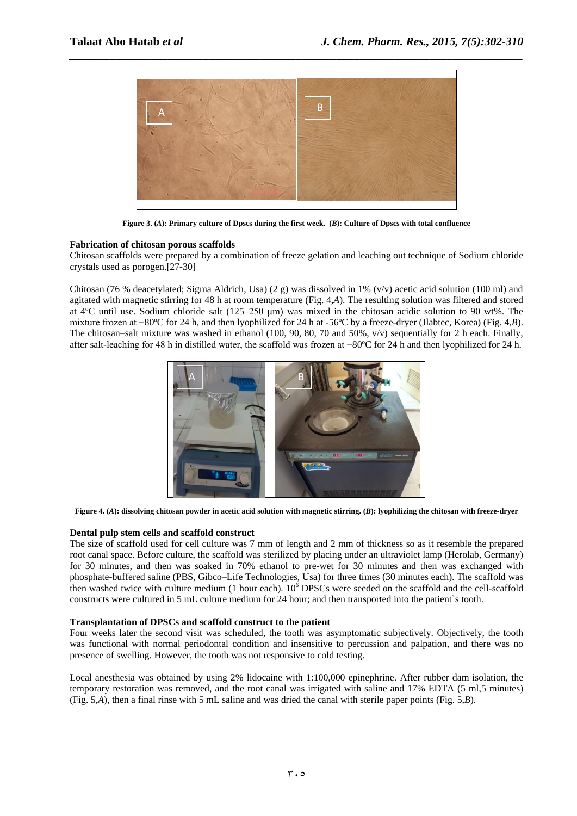

**Figure 3. (***A***): Primary culture of Dpscs during the first week. (***B***): Culture of Dpscs with total confluence**

#### **Fabrication of chitosan porous scaffolds**

Chitosan scaffolds were prepared by a combination of freeze gelation and leaching out technique of Sodium chloride crystals used as porogen.[\[27-30\]](#page-8-19)

Chitosan (76 % deacetylated; Sigma Aldrich, Usa) (2 g) was dissolved in 1% (v/v) acetic acid solution (100 ml) and agitated with magnetic stirring for 48 h at room temperature (Fig. 4,*A*). The resulting solution was filtered and stored at 4ºC until use. Sodium chloride salt (125–250 μm) was mixed in the chitosan acidic solution to 90 wt%. The mixture frozen at −80ºC for 24 h, and then lyophilized for 24 h at -56ºC by a freeze-dryer (Jlabtec, Korea) (Fig. 4,*B*). The chitosan–salt mixture was washed in ethanol (100, 90, 80, 70 and 50%, v/v) sequentially for 2 h each. Finally, after salt-leaching for 48 h in distilled water, the scaffold was frozen at −80ºC for 24 h and then lyophilized for 24 h.



**Figure 4. (***A***): dissolving chitosan powder in acetic acid solution with magnetic stirring. (***B***): lyophilizing the chitosan with freeze-dryer**

#### **Dental pulp stem cells and scaffold construct**

The size of scaffold used for cell culture was 7 mm of length and 2 mm of thickness so as it resemble the prepared root canal space. Before culture, the scaffold was sterilized by placing under an ultraviolet lamp (Herolab, Germany) for 30 minutes, and then was soaked in 70% ethanol to pre-wet for 30 minutes and then was exchanged with phosphate-buffered saline (PBS, Gibco–Life Technologies, Usa) for three times (30 minutes each). The scaffold was then washed twice with culture medium (1 hour each).  $10<sup>6</sup>$  DPSCs were seeded on the scaffold and the cell-scaffold constructs were cultured in 5 mL culture medium for 24 hour; and then transported into the patient`s tooth.

#### **Transplantation of DPSCs and scaffold construct to the patient**

Four weeks later the second visit was scheduled, the tooth was asymptomatic subjectively. Objectively, the tooth was functional with normal periodontal condition and insensitive to percussion and palpation, and there was no presence of swelling. However, the tooth was not responsive to cold testing.

Local anesthesia was obtained by using 2% lidocaine with 1:100,000 epinephrine. After rubber dam isolation, the temporary restoration was removed, and the root canal was irrigated with saline and 17% EDTA (5 ml,5 minutes) (Fig. 5,*A*), then a final rinse with 5 mL saline and was dried the canal with sterile paper points (Fig. 5,*B*).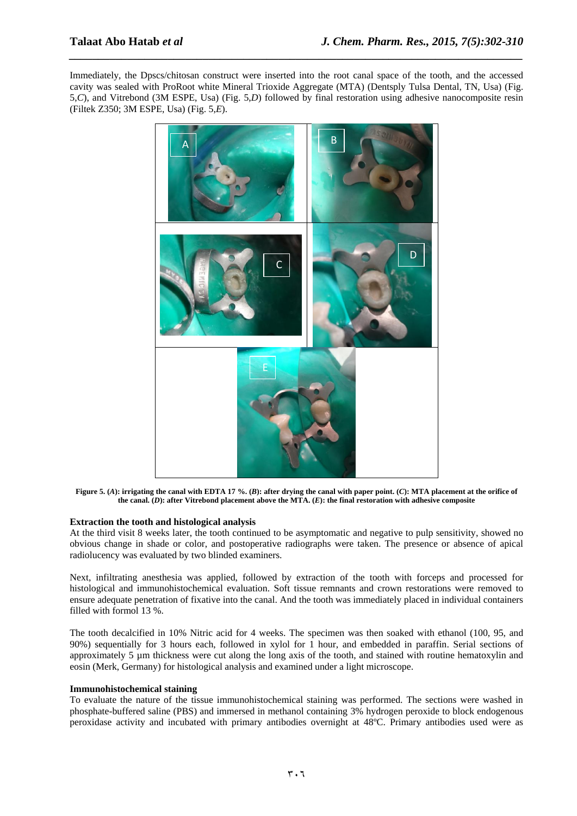Immediately, the Dpscs/chitosan construct were inserted into the root canal space of the tooth, and the accessed cavity was sealed with ProRoot white Mineral Trioxide Aggregate (MTA) (Dentsply Tulsa Dental, TN, Usa) (Fig. 5,*C*), and Vitrebond (3M ESPE, Usa) (Fig. 5,*D*) followed by final restoration using adhesive nanocomposite resin (Filtek Z350; 3M ESPE, Usa) (Fig. 5,*E*).

*\_\_\_\_\_\_\_\_\_\_\_\_\_\_\_\_\_\_\_\_\_\_\_\_\_\_\_\_\_\_\_\_\_\_\_\_\_\_\_\_\_\_\_\_\_\_\_\_\_\_\_\_\_\_\_\_\_\_\_\_\_\_\_\_\_\_\_\_\_\_\_\_\_\_\_\_\_\_*



**Figure 5. (***A***): irrigating the canal with EDTA 17 %. (***B***): after drying the canal with paper point. (***C***): MTA placement at the orifice of the canal. (***D***): after Vitrebond placement above the MTA. (***E***): the final restoration with adhesive composite**

#### **Extraction the tooth and histological analysis**

At the third visit 8 weeks later, the tooth continued to be asymptomatic and negative to pulp sensitivity, showed no obvious change in shade or color, and postoperative radiographs were taken. The presence or absence of apical radiolucency was evaluated by two blinded examiners.

Next, infiltrating anesthesia was applied, followed by extraction of the tooth with forceps and processed for histological and immunohistochemical evaluation. Soft tissue remnants and crown restorations were removed to ensure adequate penetration of fixative into the canal. And the tooth was immediately placed in individual containers filled with formol 13 %.

The tooth decalcified in 10% Nitric acid for 4 weeks. The specimen was then soaked with ethanol (100, 95, and 90%) sequentially for 3 hours each, followed in xylol for 1 hour, and embedded in paraffin. Serial sections of approximately 5 um thickness were cut along the long axis of the tooth, and stained with routine hematoxylin and eosin (Merk, Germany) for histological analysis and examined under a light microscope.

#### **Immunohistochemical staining**

To evaluate the nature of the tissue immunohistochemical staining was performed. The sections were washed in phosphate-buffered saline (PBS) and immersed in methanol containing 3% hydrogen peroxide to block endogenous peroxidase activity and incubated with primary antibodies overnight at 48ºC. Primary antibodies used were as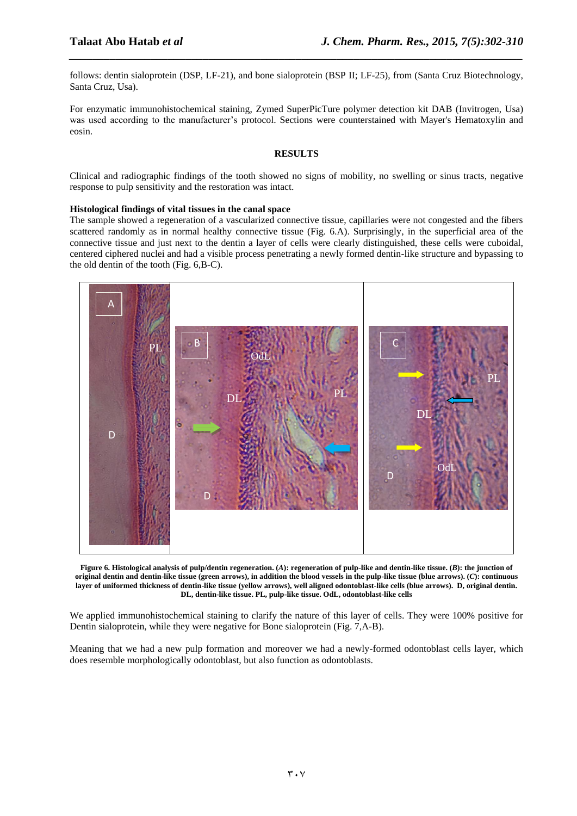follows: dentin sialoprotein (DSP, LF-21), and bone sialoprotein (BSP II; LF-25), from (Santa Cruz Biotechnology, Santa Cruz, Usa).

*\_\_\_\_\_\_\_\_\_\_\_\_\_\_\_\_\_\_\_\_\_\_\_\_\_\_\_\_\_\_\_\_\_\_\_\_\_\_\_\_\_\_\_\_\_\_\_\_\_\_\_\_\_\_\_\_\_\_\_\_\_\_\_\_\_\_\_\_\_\_\_\_\_\_\_\_\_\_*

For enzymatic immunohistochemical staining, Zymed SuperPicTure polymer detection kit DAB (Invitrogen, Usa) was used according to the manufacturer's protocol. Sections were counterstained with Mayer's Hematoxylin and eosin.

#### **RESULTS**

Clinical and radiographic findings of the tooth showed no signs of mobility, no swelling or sinus tracts, negative response to pulp sensitivity and the restoration was intact.

#### **Histological findings of vital tissues in the canal space**

The sample showed a regeneration of a vascularized connective tissue, capillaries were not congested and the fibers scattered randomly as in normal healthy connective tissue (Fig. 6.A). Surprisingly, in the superficial area of the connective tissue and just next to the dentin a layer of cells were clearly distinguished, these cells were cuboidal, centered ciphered nuclei and had a visible process penetrating a newly formed dentin-like structure and bypassing to the old dentin of the tooth (Fig. 6,B-C).



**Figure 6. Histological analysis of pulp/dentin regeneration. (***A***): regeneration of pulp-like and dentin-like tissue. (***B***): the junction of original dentin and dentin-like tissue (green arrows), in addition the blood vessels in the pulp-like tissue (blue arrows). (***C***): continuous layer of uniformed thickness of dentin-like tissue (yellow arrows), well aligned odontoblast-like cells (blue arrows). D, original dentin. DL, dentin-like tissue. PL, pulp-like tissue. OdL, odontoblast-like cells**

We applied immunohistochemical staining to clarify the nature of this layer of cells. They were 100% positive for Dentin sialoprotein, while they were negative for Bone sialoprotein (Fig. 7,A-B).

Meaning that we had a new pulp formation and moreover we had a newly-formed odontoblast cells layer, which does resemble morphologically odontoblast, but also function as odontoblasts.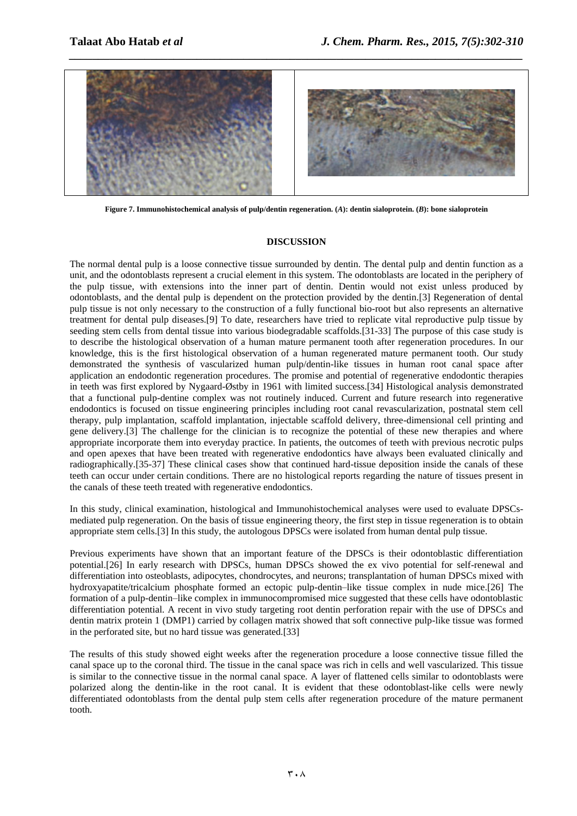

*\_\_\_\_\_\_\_\_\_\_\_\_\_\_\_\_\_\_\_\_\_\_\_\_\_\_\_\_\_\_\_\_\_\_\_\_\_\_\_\_\_\_\_\_\_\_\_\_\_\_\_\_\_\_\_\_\_\_\_\_\_\_\_\_\_\_\_\_\_\_\_\_\_\_\_\_\_\_*

**Figure 7. Immunohistochemical analysis of pulp/dentin regeneration. (***A***): dentin sialoprotein. (***B***): bone sialoprotein**

#### **DISCUSSION**

The normal dental pulp is a loose connective tissue surrounded by dentin. The dental pulp and dentin function as a unit, and the odontoblasts represent a crucial element in this system. The odontoblasts are located in the periphery of the pulp tissue, with extensions into the inner part of dentin. Dentin would not exist unless produced by odontoblasts, and the dental pulp is dependent on the protection provided by the dentin.[3] Regeneration of dental pulp tissue is not only necessary to the construction of a fully functional bio-root but also represents an alternative treatment for dental pulp diseases.[\[9\]](#page-8-8) To date, researchers have tried to replicate vital reproductive pulp tissue by seeding stem cells from dental tissue into various biodegradable scaffolds.[\[31-33\]](#page-8-20) The purpose of this case study is to describe the histological observation of a human mature permanent tooth after regeneration procedures. In our knowledge, this is the first histological observation of a human regenerated mature permanent tooth. Our study demonstrated the synthesis of vascularized human pulp/dentin-like tissues in human root canal space after application an endodontic regeneration procedures. The promise and potential of regenerative endodontic therapies in teeth was first explored by Nygaard-Østby in 1961 with limited success.[\[34\]](#page-8-21) Histological analysis demonstrated that a functional pulp-dentine complex was not routinely induced. Current and future research into regenerative endodontics is focused on tissue engineering principles including root canal revascularization, postnatal stem cell therapy, pulp implantation, scaffold implantation, injectable scaffold delivery, three-dimensional cell printing and gene delivery.[\[3\]](#page-8-2) The challenge for the clinician is to recognize the potential of these new therapies and where appropriate incorporate them into everyday practice. In patients, the outcomes of teeth with previous necrotic pulps and open apexes that have been treated with regenerative endodontics have always been evaluated clinically and radiographically.[\[35-37\]](#page-8-22) These clinical cases show that continued hard-tissue deposition inside the canals of these teeth can occur under certain conditions. There are no histological reports regarding the nature of tissues present in the canals of these teeth treated with regenerative endodontics.

In this study, clinical examination, histological and Immunohistochemical analyses were used to evaluate DPSCsmediated pulp regeneration. On the basis of tissue engineering theory, the first step in tissue regeneration is to obtain appropriate stem cells.[\[3\]](#page-8-2) In this study, the autologous DPSCs were isolated from human dental pulp tissue.

Previous experiments have shown that an important feature of the DPSCs is their odontoblastic differentiation potential.[\[26\]](#page-8-23) In early research with DPSCs, human DPSCs showed the ex vivo potential for self-renewal and differentiation into osteoblasts, adipocytes, chondrocytes, and neurons; transplantation of human DPSCs mixed with hydroxyapatite/tricalcium phosphate formed an ectopic pulp-dentin–like tissue complex in nude mice.[\[26\]](#page-8-23) The formation of a pulp-dentin–like complex in immunocompromised mice suggested that these cells have odontoblastic differentiation potential. A recent in vivo study targeting root dentin perforation repair with the use of DPSCs and dentin matrix protein 1 (DMP1) carried by collagen matrix showed that soft connective pulp-like tissue was formed in the perforated site, but no hard tissue was generated.[\[33\]](#page-8-24)

The results of this study showed eight weeks after the regeneration procedure a loose connective tissue filled the canal space up to the coronal third. The tissue in the canal space was rich in cells and well vascularized. This tissue is similar to the connective tissue in the normal canal space. A layer of flattened cells similar to odontoblasts were polarized along the dentin-like in the root canal. It is evident that these odontoblast-like cells were newly differentiated odontoblasts from the dental pulp stem cells after regeneration procedure of the mature permanent tooth.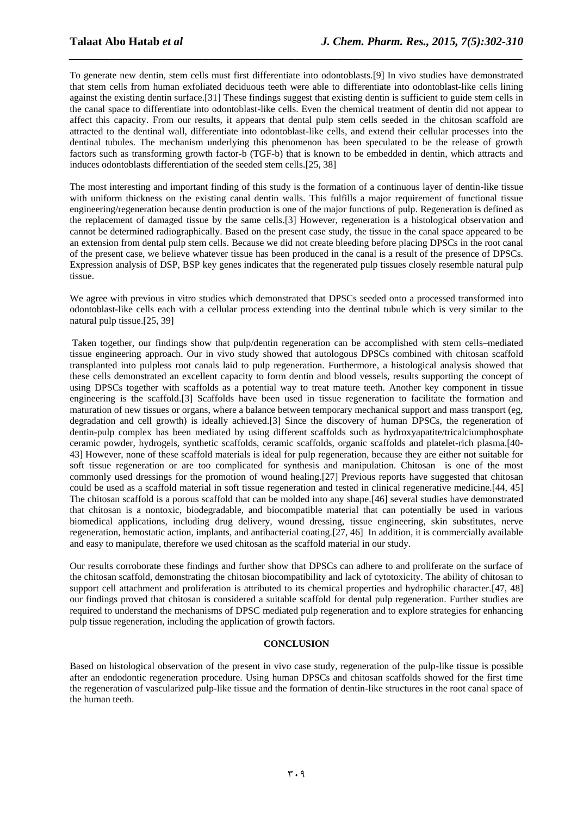To generate new dentin, stem cells must first differentiate into odontoblasts.[\[9\]](#page-8-8) In vivo studies have demonstrated that stem cells from human exfoliated deciduous teeth were able to differentiate into odontoblast-like cells lining against the existing dentin surface.[\[31\]](#page-8-20) These findings suggest that existing dentin is sufficient to guide stem cells in the canal space to differentiate into odontoblast-like cells. Even the chemical treatment of dentin did not appear to affect this capacity. From our results, it appears that dental pulp stem cells seeded in the chitosan scaffold are attracted to the dentinal wall, differentiate into odontoblast-like cells, and extend their cellular processes into the dentinal tubules. The mechanism underlying this phenomenon has been speculated to be the release of growth factors such as transforming growth factor-b (TGF-b) that is known to be embedded in dentin, which attracts and induces odontoblasts differentiation of the seeded stem cells.[\[25,](#page-8-25) [38\]](#page-8-26)

*\_\_\_\_\_\_\_\_\_\_\_\_\_\_\_\_\_\_\_\_\_\_\_\_\_\_\_\_\_\_\_\_\_\_\_\_\_\_\_\_\_\_\_\_\_\_\_\_\_\_\_\_\_\_\_\_\_\_\_\_\_\_\_\_\_\_\_\_\_\_\_\_\_\_\_\_\_\_*

The most interesting and important finding of this study is the formation of a continuous layer of dentin-like tissue with uniform thickness on the existing canal dentin walls. This fulfills a major requirement of functional tissue engineering/regeneration because dentin production is one of the major functions of pulp. Regeneration is defined as the replacement of damaged tissue by the same cells.[\[3\]](#page-8-2) However, regeneration is a histological observation and cannot be determined radiographically. Based on the present case study, the tissue in the canal space appeared to be an extension from dental pulp stem cells. Because we did not create bleeding before placing DPSCs in the root canal of the present case, we believe whatever tissue has been produced in the canal is a result of the presence of DPSCs. Expression analysis of DSP, BSP key genes indicates that the regenerated pulp tissues closely resemble natural pulp tissue.

We agree with previous in vitro studies which demonstrated that DPSCs seeded onto a processed transformed into odontoblast-like cells each with a cellular process extending into the dentinal tubule which is very similar to the natural pulp tissue.[\[25,](#page-8-25) [39\]](#page-8-27)

Taken together, our findings show that pulp/dentin regeneration can be accomplished with stem cells–mediated tissue engineering approach. Our in vivo study showed that autologous DPSCs combined with chitosan scaffold transplanted into pulpless root canals laid to pulp regeneration. Furthermore, a histological analysis showed that these cells demonstrated an excellent capacity to form dentin and blood vessels, results supporting the concept of using DPSCs together with scaffolds as a potential way to treat mature teeth. Another key component in tissue engineering is the scaffold.[\[3\]](#page-8-2) Scaffolds have been used in tissue regeneration to facilitate the formation and maturation of new tissues or organs, where a balance between temporary mechanical support and mass transport (eg, degradation and cell growth) is ideally achieved.[\[3\]](#page-8-2) Since the discovery of human DPSCs, the regeneration of dentin-pulp complex has been mediated by using different scaffolds such as hydroxyapatite/tricalciumphosphate ceramic powder, hydrogels, synthetic scaffolds, ceramic scaffolds, organic scaffolds and platelet-rich plasma.[\[40-](#page-8-28) [43\]](#page-8-28) However, none of these scaffold materials is ideal for pulp regeneration, because they are either not suitable for soft tissue regeneration or are too complicated for synthesis and manipulation. Chitosan is one of the most commonly used dressings for the promotion of wound healing.[\[27\]](#page-8-19) Previous reports have suggested that chitosan could be used as a scaffold material in soft tissue regeneration and tested in clinical regenerative medicine.[\[44,](#page-8-29) [45\]](#page-8-30) The chitosan scaffold is a porous scaffold that can be molded into any shape.[\[46\]](#page-8-31) several studies have demonstrated that chitosan is a nontoxic, biodegradable, and biocompatible material that can potentially be used in various biomedical applications, including drug delivery, wound dressing, tissue engineering, skin substitutes, nerve regeneration, hemostatic action, implants, and antibacterial coating.[\[27,](#page-8-19) [46\]](#page-8-31) In addition, it is commercially available and easy to manipulate, therefore we used chitosan as the scaffold material in our study.

Our results corroborate these findings and further show that DPSCs can adhere to and proliferate on the surface of the chitosan scaffold, demonstrating the chitosan biocompatibility and lack of cytotoxicity. The ability of chitosan to support cell attachment and proliferation is attributed to its chemical properties and hydrophilic character.[\[47,](#page-8-32) [48\]](#page-8-33) our findings proved that chitosan is considered a suitable scaffold for dental pulp regeneration. Further studies are required to understand the mechanisms of DPSC mediated pulp regeneration and to explore strategies for enhancing pulp tissue regeneration, including the application of growth factors.

#### **CONCLUSION**

Based on histological observation of the present in vivo case study, regeneration of the pulp-like tissue is possible after an endodontic regeneration procedure. Using human DPSCs and chitosan scaffolds showed for the first time the regeneration of vascularized pulp-like tissue and the formation of dentin-like structures in the root canal space of the human teeth.